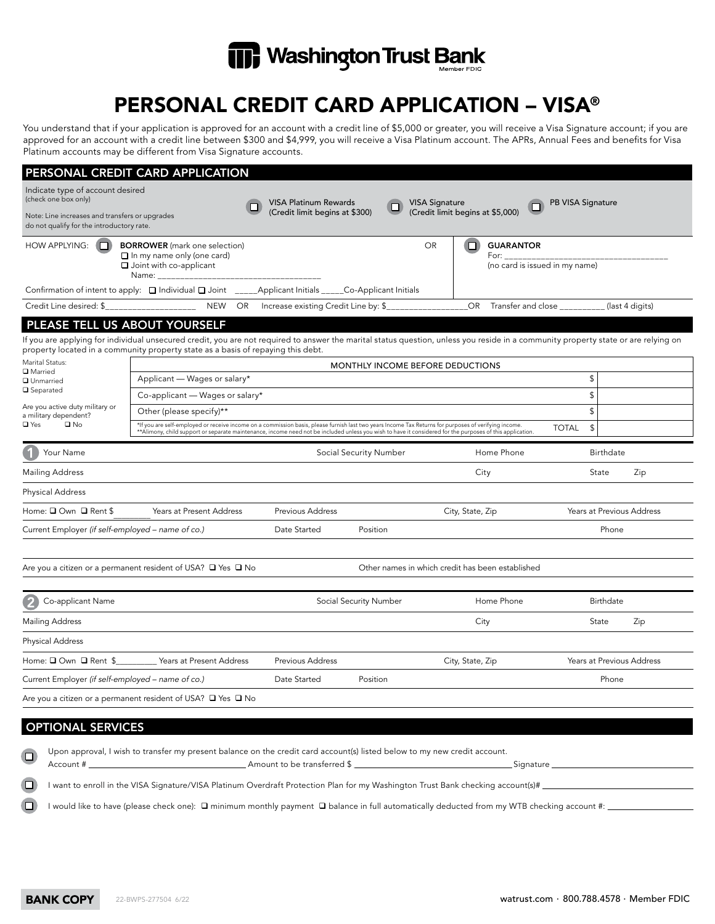

# PERSONAL CREDIT CARD APPLICATION – VISA®

You understand that if your application is approved for an account with a credit line of \$5,000 or greater, you will receive a Visa Signature account; if you are approved for an account with a credit line between \$300 and \$4,999, you will receive a Visa Platinum account. The APRs, Annual Fees and benefits for Visa Platinum accounts may be different from Visa Signature accounts.

|                                                                                             | PERSONAL CREDIT CARD APPLICATION                                                                                                                                                                                                                                                                                  |                                              |                                                  |                                                                 |                                               |  |  |
|---------------------------------------------------------------------------------------------|-------------------------------------------------------------------------------------------------------------------------------------------------------------------------------------------------------------------------------------------------------------------------------------------------------------------|----------------------------------------------|--------------------------------------------------|-----------------------------------------------------------------|-----------------------------------------------|--|--|
| Indicate type of account desired<br>(check one box only)                                    |                                                                                                                                                                                                                                                                                                                   | <b>VISA Platinum Rewards</b>                 | <b>VISA Signature</b>                            |                                                                 | PB VISA Signature                             |  |  |
| Note: Line increases and transfers or upgrades<br>do not qualify for the introductory rate. |                                                                                                                                                                                                                                                                                                                   | (Credit limit begins at \$300)               |                                                  | (Credit limit begins at \$5,000)                                |                                               |  |  |
| <b>HOW APPLYING:</b>                                                                        | <b>BORROWER</b> (mark one selection)<br>$\Box$ In my name only (one card)<br>$\Box$ Joint with co-applicant<br>Name:                                                                                                                                                                                              |                                              | <b>OR</b>                                        | <b>GUARANTOR</b><br>n<br>For:<br>(no card is issued in my name) |                                               |  |  |
|                                                                                             | Confirmation of intent to apply: $\Box$ Individual $\Box$ Joint _____Applicant Initials _____Co-Applicant Initials                                                                                                                                                                                                |                                              |                                                  |                                                                 |                                               |  |  |
| Credit Line desired: \$                                                                     |                                                                                                                                                                                                                                                                                                                   | NEW OR Increase existing Credit Line by: \$_ |                                                  | <b>OR</b>                                                       | Transfer and close __________ (last 4 digits) |  |  |
| PLEASE TELL US ABOUT YOURSELF                                                               |                                                                                                                                                                                                                                                                                                                   |                                              |                                                  |                                                                 |                                               |  |  |
|                                                                                             | If you are applying for individual unsecured credit, you are not required to answer the marital status question, unless you reside in a community property state or are relying on<br>property located in a community property state as a basis of repaying this debt.                                            |                                              |                                                  |                                                                 |                                               |  |  |
| Marital Status:<br><b>□</b> Married                                                         | MONTHLY INCOME BEFORE DEDUCTIONS                                                                                                                                                                                                                                                                                  |                                              |                                                  |                                                                 |                                               |  |  |
| <b>Q</b> Unmarried                                                                          | Applicant - Wages or salary*                                                                                                                                                                                                                                                                                      |                                              |                                                  |                                                                 | \$                                            |  |  |
| <b>□</b> Separated                                                                          | Co-applicant - Wages or salary*                                                                                                                                                                                                                                                                                   |                                              |                                                  |                                                                 | \$                                            |  |  |
| Are you active duty military or<br>a military dependent?                                    | Other (please specify)**                                                                                                                                                                                                                                                                                          |                                              |                                                  |                                                                 | \$                                            |  |  |
| □ Yes<br>$\square$ No                                                                       | *If you are self-employed or receive income on a commission basis, please furnish last two years Income Tax Returns for purposes of verifying income.<br>**Alimony, child support or separate maintenance, income need not be included unless you wish to have it considered for the purposes of this application |                                              |                                                  |                                                                 | $\mathsf{\$}$<br><b>TOTAL</b>                 |  |  |
| Your Name                                                                                   |                                                                                                                                                                                                                                                                                                                   |                                              | Social Security Number                           | Home Phone                                                      | Birthdate                                     |  |  |
| <b>Mailing Address</b>                                                                      |                                                                                                                                                                                                                                                                                                                   |                                              |                                                  | City                                                            | State<br>Zip                                  |  |  |
| <b>Physical Address</b>                                                                     |                                                                                                                                                                                                                                                                                                                   |                                              |                                                  |                                                                 |                                               |  |  |
| Home: □ Own □ Rent \$                                                                       | Years at Present Address                                                                                                                                                                                                                                                                                          | <b>Previous Address</b>                      |                                                  | City, State, Zip                                                | Years at Previous Address                     |  |  |
| Current Employer (if self-employed - name of co.)                                           |                                                                                                                                                                                                                                                                                                                   | Date Started                                 | Position                                         |                                                                 | Phone                                         |  |  |
|                                                                                             |                                                                                                                                                                                                                                                                                                                   |                                              |                                                  |                                                                 |                                               |  |  |
|                                                                                             | Are you a citizen or a permanent resident of USA? $\Box$ Yes $\Box$ No                                                                                                                                                                                                                                            |                                              | Other names in which credit has been established |                                                                 |                                               |  |  |
| Co-applicant Name                                                                           |                                                                                                                                                                                                                                                                                                                   | Social Security Number                       |                                                  | Home Phone                                                      | Birthdate                                     |  |  |
| <b>Mailing Address</b>                                                                      |                                                                                                                                                                                                                                                                                                                   |                                              |                                                  | City                                                            | Zip<br>State                                  |  |  |
| <b>Physical Address</b>                                                                     |                                                                                                                                                                                                                                                                                                                   |                                              |                                                  |                                                                 |                                               |  |  |
| Home: □ Own □ Rent \$<br>Years at Present Address                                           |                                                                                                                                                                                                                                                                                                                   | <b>Previous Address</b>                      |                                                  | City, State, Zip                                                | Years at Previous Address                     |  |  |
| Current Employer (if self-employed - name of co.)                                           |                                                                                                                                                                                                                                                                                                                   | Date Started                                 | Position                                         |                                                                 | Phone                                         |  |  |
|                                                                                             | Are you a citizen or a permanent resident of USA? $\Box$ Yes $\Box$ No                                                                                                                                                                                                                                            |                                              |                                                  |                                                                 |                                               |  |  |
| <b>ODTIONIAL CEDVICES</b>                                                                   |                                                                                                                                                                                                                                                                                                                   |                                              |                                                  |                                                                 |                                               |  |  |

### OPTIONAL SERVICES

Upon approval, I wish to transfer my present balance on the credit card account(s) listed below to my new credit account. Account # \_\_\_\_\_\_\_\_\_\_\_\_\_\_\_\_\_\_\_\_\_\_\_\_\_\_\_\_\_\_\_\_\_\_ Amount to be transferred \$ \_\_\_\_\_\_\_\_\_\_\_\_\_\_\_\_\_\_\_\_\_\_\_\_\_\_\_\_\_\_\_\_\_\_ Signature \_\_\_\_\_\_\_\_\_\_\_\_\_\_\_\_\_\_\_\_\_\_\_\_\_\_\_\_\_\_ I want to enroll in the VISA Signature/VISA Platinum Overdraft Protection Plan for my Washington Trust Bank checking account(s)# n I would like to have (please check one): q minimum monthly payment q balance in full automatically deducted from my WTB checking account #: \_\_\_\_\_\_\_\_\_\_\_\_\_\_\_\_\_\_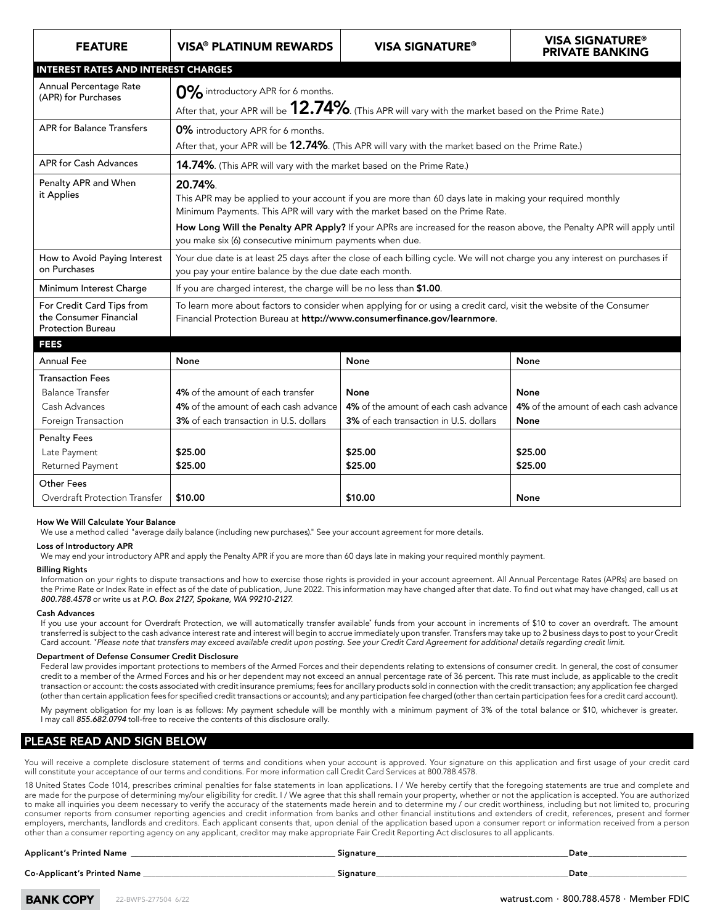| <b>FEATURE</b>                                                                             | <b>VISA® PLATINUM REWARDS</b>                                                                                                                                                                         | <b>VISA SIGNATURE®</b>                                                                  | <b>VISA SIGNATURE®</b><br><b>PRIVATE BANKING</b>      |  |  |
|--------------------------------------------------------------------------------------------|-------------------------------------------------------------------------------------------------------------------------------------------------------------------------------------------------------|-----------------------------------------------------------------------------------------|-------------------------------------------------------|--|--|
| <b>INTEREST RATES AND INTEREST CHARGES</b>                                                 |                                                                                                                                                                                                       |                                                                                         |                                                       |  |  |
| Annual Percentage Rate<br>(APR) for Purchases                                              | 0% introductory APR for 6 months.<br>After that, your APR will be 12.74%. (This APR will vary with the market based on the Prime Rate.)                                                               |                                                                                         |                                                       |  |  |
| <b>APR</b> for Balance Transfers                                                           | 0% introductory APR for 6 months.<br>After that, your APR will be 12.74%. (This APR will vary with the market based on the Prime Rate.)                                                               |                                                                                         |                                                       |  |  |
| APR for Cash Advances                                                                      | 14.74%. (This APR will vary with the market based on the Prime Rate.)                                                                                                                                 |                                                                                         |                                                       |  |  |
| Penalty APR and When<br>it Applies                                                         | 20.74%.<br>This APR may be applied to your account if you are more than 60 days late in making your required monthly<br>Minimum Payments. This APR will vary with the market based on the Prime Rate. |                                                                                         |                                                       |  |  |
|                                                                                            | How Long Will the Penalty APR Apply? If your APRs are increased for the reason above, the Penalty APR will apply until<br>you make six (6) consecutive minimum payments when due.                     |                                                                                         |                                                       |  |  |
| How to Avoid Paying Interest<br>on Purchases                                               | Your due date is at least 25 days after the close of each billing cycle. We will not charge you any interest on purchases if<br>you pay your entire balance by the due date each month.               |                                                                                         |                                                       |  |  |
| Minimum Interest Charge                                                                    | If you are charged interest, the charge will be no less than \$1.00.                                                                                                                                  |                                                                                         |                                                       |  |  |
| For Credit Card Tips from<br>the Consumer Financial<br><b>Protection Bureau</b>            | To learn more about factors to consider when applying for or using a credit card, visit the website of the Consumer<br>Financial Protection Bureau at http://www.consumerfinance.gov/learnmore.       |                                                                                         |                                                       |  |  |
| <b>FEES</b>                                                                                |                                                                                                                                                                                                       |                                                                                         |                                                       |  |  |
| Annual Fee                                                                                 | None                                                                                                                                                                                                  | None                                                                                    | None                                                  |  |  |
| <b>Transaction Fees</b><br><b>Balance Transfer</b><br>Cash Advances<br>Foreign Transaction | 4% of the amount of each transfer<br>4% of the amount of each cash advance<br>3% of each transaction in U.S. dollars                                                                                  | None<br>4% of the amount of each cash advance<br>3% of each transaction in U.S. dollars | None<br>4% of the amount of each cash advance<br>None |  |  |
| <b>Penalty Fees</b><br>Late Payment<br>Returned Payment                                    | \$25.00<br>\$25.00                                                                                                                                                                                    | \$25.00<br>\$25.00                                                                      | \$25.00<br>\$25.00                                    |  |  |
| Other Fees<br>Overdraft Protection Transfer                                                | \$10.00                                                                                                                                                                                               | \$10.00                                                                                 | <b>None</b>                                           |  |  |

#### How We Will Calculate Your Balance

We use a method called "average daily balance (including new purchases)." See your account agreement for more details.

#### Loss of Introductory APR

We may end your introductory APR and apply the Penalty APR if you are more than 60 days late in making your required monthly payment.

#### Billing Rights

Information on your rights to dispute transactions and how to exercise those rights is provided in your account agreement. All Annual Percentage Rates (APRs) are based on the Prime Rate or Index Rate in effect as of the date of publication, June 2022. This information may have changed after that date. To find out what may have changed, call us at *800.788.4578* or write us at *P.O. Box 2127, Spokane, WA 99210-2127*.

#### Cash Advances

If you use your account for Overdraft Protection, we will automatically transfer available\* funds from your account in increments of \$10 to cover an overdraft. The amount transferred is subject to the cash advance interest rate and interest will begin to accrue immediately upon transfer. Transfers may take up to 2 business days to post to your Credit Card account. *\* Please note that transfers may exceed available credit upon posting. See your Credit Card Agreement for additional details regarding credit limit.*

#### Department of Defense Consumer Credit Disclosure

Federal law provides important protections to members of the Armed Forces and their dependents relating to extensions of consumer credit. In general, the cost of consumer credit to a member of the Armed Forces and his or her dependent may not exceed an annual percentage rate of 36 percent. This rate must include, as applicable to the credit transaction or account: the costs associated with credit insurance premiums; fees for ancillary products sold in connection with the credit transaction; any application fee charged (other than certain application fees for specified credit transactions or accounts); and any participation fee charged (other than certain participation fees for a credit card account).

My payment obligation for my loan is as follows: My payment schedule will be monthly with a minimum payment of 3% of the total balance or \$10, whichever is greater. I may call *855.682.0794* toll-free to receive the contents of this disclosure orally.

### PLEASE READ AND SIGN BELOW

You will receive a complete disclosure statement of terms and conditions when your account is approved. Your signature on this application and first usage of your credit card will constitute your acceptance of our terms and conditions. For more information call Credit Card Services at 800.788.4578.

18 United States Code 1014, prescribes criminal penalties for false statements in loan applications. I / We hereby certify that the foregoing statements are true and complete and are made for the purpose of determining my/our eligibility for credit. I / We agree that this shall remain your property, whether or not the application is accepted. You are authorized are made for the purpose or determining my/our engionity for credit. I7 we agree that this shall femally you property, whether or not the application is accepted. Tou are authorized<br>to make all inquiries you deem necessary consumer reports from consumer reporting agencies and credit information from banks and other financial institutions and extenders of credit, references, present and former employers, merchants, landlords and creditors. Each applicant consents that, upon denial of the application based upon a consumer report or information received from a person other than a consumer reporting agency on any applicant, creditor may make appropriate Fair Credit Reporting Act disclosures to all applicants.

#### Applicant's Printed Name \_\_\_\_\_\_\_\_\_\_\_\_\_\_\_\_\_\_\_\_\_\_\_\_\_\_\_\_\_\_\_\_\_\_\_\_\_\_\_\_\_\_\_\_\_\_\_\_\_\_ Signature\_\_\_\_\_\_\_\_\_\_\_\_\_\_\_\_\_\_\_\_\_\_\_\_\_\_\_\_\_\_\_\_\_\_\_\_\_\_\_\_\_\_\_\_\_\_\_Date\_\_\_\_\_\_\_\_\_\_\_\_\_\_\_\_\_\_\_\_\_\_\_\_

Co-Applicant's Printed Name \_\_\_\_\_\_\_\_\_\_\_\_\_\_\_\_\_\_\_\_\_\_\_\_\_\_\_\_\_\_\_\_\_\_\_\_\_\_\_\_\_\_\_\_\_\_\_ Signature\_\_\_\_\_\_\_\_\_\_\_\_\_\_\_\_\_\_\_\_\_\_\_\_\_\_\_\_\_\_\_\_\_\_\_\_\_\_\_\_\_\_\_\_\_\_\_Date\_\_\_\_\_\_\_\_\_\_\_\_\_\_\_\_\_\_\_\_\_\_\_\_

**BANK COPY** 

22-BWPS-277504 6/22 watrust.com · 800.788.4578 · Member FDIC